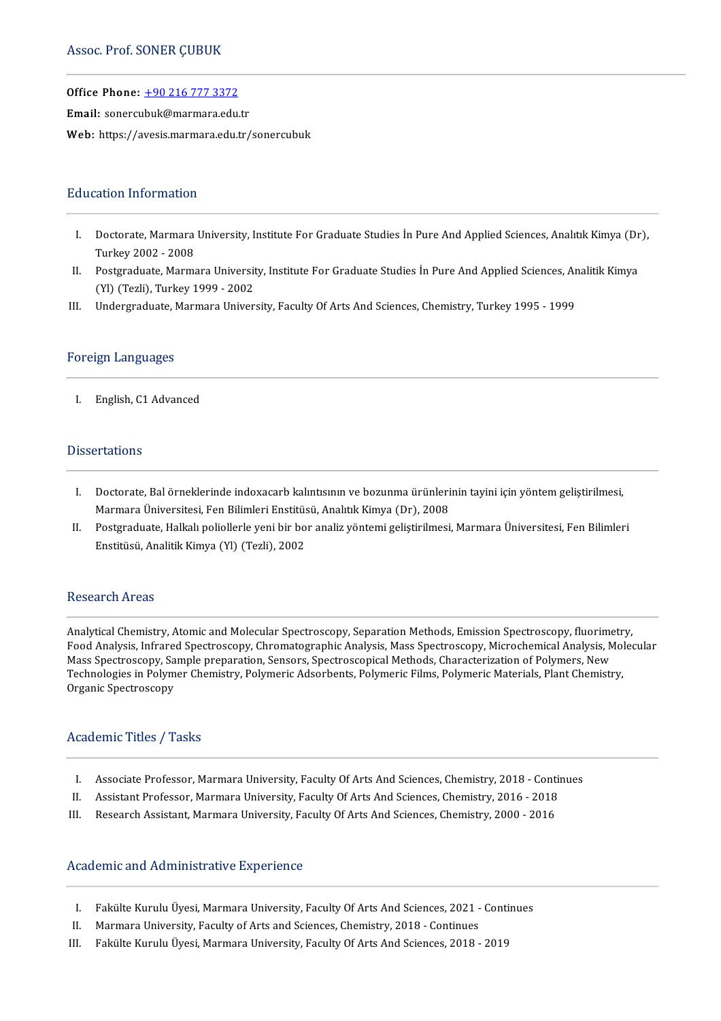Office Phone: +902167773372

Email: sonercu[buk@marmara.edu](tel:+90 216 777 3372).tr

Web: https://avesis.marmara.edu.tr/sonercubuk

### **Education Information**

- ducation Information<br>I. Doctorate, Marmara University, Institute For Graduate Studies İn Pure And Applied Sciences, Analıtık Kimya (Dr),<br>Turkay 2002–2008 mand<br>Turkey 2002 - 2008<br>Postareduste Marma I. Doctorate, Marmara University, Institute For Graduate Studies İn Pure And Applied Sciences, Analitik Kimya (Dr<br>Turkey 2002 - 2008<br>II. Postgraduate, Marmara University, Institute For Graduate Studies İn Pure And Applied
- Turkey 2002 2008<br>Postgraduate, Marmara Universit<br>(Yl) (Tezli), Turkey 1999 2002<br>Undergraduate Marmara Univer II. Postgraduate, Marmara University, Institute For Graduate Studies İn Pure And Applied Sciences, Ar (Yl) (Tezli), Turkey 1999 - 2002<br>III. Undergraduate, Marmara University, Faculty Of Arts And Sciences, Chemistry, Turkey
- III. Undergraduate, Marmara University, Faculty Of Arts And Sciences, Chemistry, Turkey 1995 1999<br>Foreign Languages

I. English,C1Advanced

### **Dissertations**

- I. Doctorate, Bal örneklerinde indoxacarb kalıntısının ve bozunma ürünlerinin tayini için yöntem geliştirilmesi, Doctorate, Bal örneklerinde indoxacarb kalıntısının ve bozunma ürünleri<br>Marmara Üniversitesi, Fen Bilimleri Enstitüsü, Analıtık Kimya (Dr), 2008<br>Pestaraduata Hallralı poliallerle veni bir ber analiz vöntemi geliştirilmesi
- II. Postgraduate, Halkalı poliollerle yeni bir bor analiz yöntemi geliştirilmesi, Marmara Üniversitesi, Fen Bilimleri<br>Enstitüsü, Analitik Kimya (Yl) (Tezli), 2002 Marmara Üniversitesi, Fen Bilimleri Enstitüs<br>Postgraduate, Halkalı poliollerle yeni bir bo<br>Enstitüsü, Analitik Kimya (Yl) (Tezli), 2002

### Research Areas

AnalyticalChemistry,Atomic andMolecular Spectroscopy,SeparationMethods,EmissionSpectroscopy, fluorimetry, FoodAnalysis, InfraredSpectroscopy,ChromatographicAnalysis,Mass Spectroscopy,MicrochemicalAnalysis,Molecular -<br>Analytical Chemistry, Atomic and Molecular Spectroscopy, Separation Methods, Emission Spectroscopy, fluorime<br>Food Analysis, Infrared Spectroscopy, Chromatographic Analysis, Mass Spectroscopy, Microchemical Analysis, M<br>Ma Analytical Chemistry, Atomic and Molecular Spectroscopy, Separation Methods, Emission Spectroscopy, fluorimetr<br>Food Analysis, Infrared Spectroscopy, Chromatographic Analysis, Mass Spectroscopy, Microchemical Analysis, Mol<br> Mass Spectroscopy, Sample preparation, Sensors, Spectroscopical Methods, Characterization of Polymers, New<br>Technologies in Polymer Chemistry, Polymeric Adsorbents, Polymeric Films, Polymeric Materials, Plant Chemistry,<br>Org

### Academic Titles / Tasks

- cademic Titles / Tasks<br>I. Associate Professor, Marmara University, Faculty Of Arts And Sciences, Chemistry, 2018 Continues<br>I. Assistant Professor, Marmara University, Faculty Of Arts And Sciences, Chemistry, 2016 2019
- I. Associate Professor, Marmara University, Faculty Of Arts And Sciences, Chemistry, 2018 Continual II. Assistant Professor, Marmara University, Faculty Of Arts And Sciences, Chemistry, 2016 2018 I. Associate Professor, Marmara University, Faculty Of Arts And Sciences, Chemistry, 2018 - Conti<br>II. Assistant Professor, Marmara University, Faculty Of Arts And Sciences, Chemistry, 2016 - 2018<br>III. Research Assistant, M
- 

### Academic and Administrative Experience

- cademic and Administrative Experience<br>I. Fakülte Kurulu Üyesi, Marmara University, Faculty Of Arts And Sciences, 2021 Continues<br>I. Marmara University, Faculty of Arts and Sciences, Chamistyy, 2019, Continues I. Fakülte Kurulu Üyesi, Marmara University, Faculty Of Arts And Sciences, 2021 -<br>II. Marmara University, Faculty of Arts and Sciences, Chemistry, 2018 - Continues<br>II. Fakülte Kurulu Üyesi Marmara University, Faculty Of Ar
- 
- I. Fakülte Kurulu Üyesi, Marmara University, Faculty Of Arts And Sciences, 2021 Conti<br>II. Marmara University, Faculty of Arts and Sciences, Chemistry, 2018 Continues<br>III. Fakülte Kurulu Üyesi, Marmara University, Facul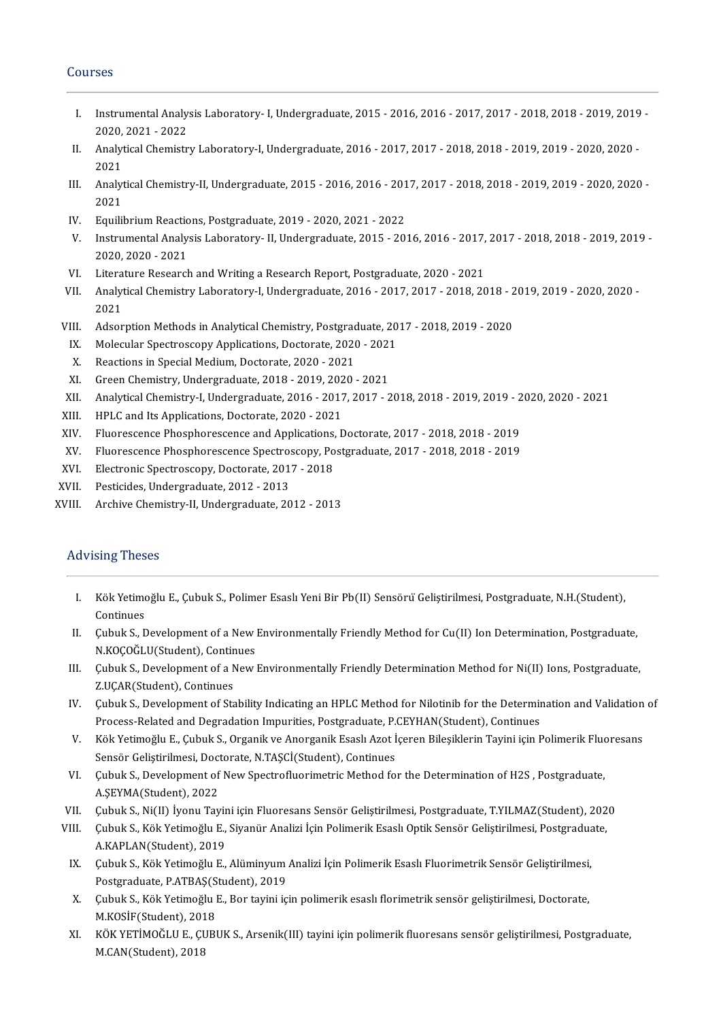### Courses

- ourses<br>I. Instrumental Analysis Laboratory- I, Undergraduate, 2015 2016, 2016 2017, 2017 2018, 2018 2019, 2019 -<br>2020–2021, 2022 Instrumental Analy:<br>2020, 2021 - 2022<br>Analytical Chamistr I. Instrumental Analysis Laboratory-I, Undergraduate, 2015 - 2016, 2016 - 2017, 2017 - 2018, 2018 - 2019, 2019<br>2020, 2021 - 2022<br>II. Analytical Chemistry Laboratory-I, Undergraduate, 2016 - 2017, 2017 - 2018, 2018 - 2019,
- 2020,<br>Analyt<br>2021 II. Analytical Chemistry Laboratory-I, Undergraduate, 2016 - 2017, 2017 - 2018, 2018 - 2019, 2019 - 2020, 2020<br>2021 - Analytical Chemistry-II, Undergraduate, 2015 - 2016, 2016 - 2017, 2017 - 2018, 2018 - 2019, 2019 - 2020,
- 2021<br>Analyt<br>2021<br>Equili III. Analytical Chemistry-II, Undergraduate, 2015 - 2016, 2016 - 201<br>2021<br>IV. Equilibrium Reactions, Postgraduate, 2019 - 2020, 2021 - 2022<br>V. Jactumental Analysis Laboratory, II Undergraduate, 2015 - 20
- 
- 2021<br>V. Equilibrium Reactions, Postgraduate, 2019 2020, 2021 2022<br>V. Instrumental Analysis Laboratory- II, Undergraduate, 2015 2016, 2016 2017, 2017 2018, 2018 2019, 2019 -<br>2020, 2021, 2021 Equilibrium Reactio<br>Instrumental Analy:<br>2020, 2020 - 2021<br>Literature Bessensk V. Instrumental Analysis Laboratory- II, Undergraduate, 2015 - 2016, 2016 - 2017,<br>2020, 2020 - 2021<br>VI. Literature Research and Writing a Research Report, Postgraduate, 2020 - 2021<br>III. Analytical Chamistry Laboratory I, U
- 
- 2020, 2020 2021<br>VI. Literature Research and Writing a Research Report, Postgraduate, 2020 2021<br>VII. Analytical Chemistry Laboratory-I, Undergraduate, 2016 2017, 2017 2018, 2018 2019, 2019 2020, 2020 -<br>2 Literature Research and Writing a Research Report, Postgraduate, 2020 - 2021<br>Analytical Chemistry Laboratory-I, Undergraduate, 2016 - 2017, 2017 - 2018, 2<br>2021 VII. Analytical Chemistry Laboratory-I, Undergraduate, 2016 - 2017, 2017 - 2018, 2018 - 2<br>2021<br>VIII. Adsorption Methods in Analytical Chemistry, Postgraduate, 2017 - 2018, 2019 - 2020<br>IV. Molecular Spectroscopy Application 2021<br>III. Adsorption Methods in Analytical Chemistry, Postgraduate, 20<br>IX. Molecular Spectroscopy Applications, Doctorate, 2020 - 2021<br>X. Boastions in Special Medium Doctorate, 2020, 2021
- 
- II. Adsorption Methods in Analytical Chemistry, Postgrad<br>X. Molecular Spectroscopy Applications, Doctorate, 2020<br>X. Reactions in Special Medium, Doctorate, 2020 2021<br>X. Green Chemistry, Undergreeduate, 2019, 2019, 2020
- 
- IX. Molecular Spectroscopy Applications, Doctorate, 2020 2021<br>X. Reactions in Special Medium, Doctorate, 2020 2021<br>XI. Green Chemistry, Undergraduate, 2018 2019, 2020 2021<br>XII. Analytical Chemistry-I, Undergraduate
- XII. Analytical Chemistry-I, Undergraduate, 2016 2017, 2017 2018, 2018 2019, 2019 2020, 2020 2021<br>XIII. HPLC and Its Applications, Doctorate, 2020 2021 XI. Green Chemistry, Undergraduate, 2018 - 2019, 2020 - 2021<br>XII. Analytical Chemistry-I, Undergraduate, 2016 - 2017, 2017 - .<br>XIII. HPLC and Its Applications, Doctorate, 2020 - 2021<br>XIV. Fluorescence Phosphorescence and A
- 
- XII. Analytical Chemistry-I, Undergraduate, 2016 2017, 2017 2018, 2018 2019, 2019 2<br>XIII. HPLC and Its Applications, Doctorate, 2020 2021<br>XIV. Fluorescence Phosphorescence and Applications, Doctorate, 2017 2018 XIV. Fluorescence Phosphorescence and Applications,<br>XV. Fluorescence Phosphorescence Spectroscopy, Po<br>XVI. Electronic Spectroscopy, Doctorate, 2017 - 2018
- XIII. HPLC and Its Applications, Doctorate, 2020 2021<br>XV. Fluorescence Phosphorescence and Applications, Doctorate, 2017 2018, 2018 2019<br>XV. Fluorescence Phosphorescence Spectroscopy, Postgraduate, 2017 2018, 2018 XV. Fluorescence Phosphorescence Spectroscopy, Postgraduate, 2017 - 2018, 2018 - 2019<br>XVII. Electronic Spectroscopy, Doctorate, 2017 - 2018<br>XVII. Pesticides, Undergraduate, 2012 - 2013<br>XVIII. Archive Chemistry-II, Undergra
- 
- 
- Archive Chemistry-II, Undergraduate, 2012 2013

### **Advising Theses**

- I. KökYetimoğluE.,ÇubukS.,PolimerEsaslıYeniBirPb(I ) SensörüGeliştirilmesi,Postgraduate,N.H.(Student), Kök Yetimo<br>Continues<br>Cubuk S. E I. Kök Yetimoğlu E., Çubuk S., Polimer Esaslı Yeni Bir Pb(II) Sensörü Geliştirilmesi, Postgraduate, N.H.(Student),<br>Continues<br>II. Çubuk S., Development of a New Environmentally Friendly Method for Cu(II) Ion Determination,
- Continues<br>Çubuk S., Development of a New Environmentally Friendly Method for Cu(II) Ion Determination, Postgraduate,<br>N.KOÇOĞLU(Student), Continues II. Çubuk S., Development of a New Environmentally Friendly Method for Cu(II) Ion Determination, Postgraduate,<br>N.KOÇOĞLU(Student), Continues<br>III. Çubuk S., Development of a New Environmentally Friendly Determination Method
- N.KOÇOĞLU(Student), Contin<br>Çubuk S., Development of a N<br>Z.UÇAR(Student), Continues<br>Cubuk S. Development of Sta III. Gubuk S., Development of a New Environmentally Friendly Determination Method for Ni(II) Ions, Postgraduate,<br>Z.UÇAR(Student), Continues<br>IV. Gubuk S., Development of Stability Indicating an HPLC Method for Nilotinib for
- Z.UÇAR(Student), Continues<br>Çubuk S., Development of Stability Indicating an HPLC Method for Nilotinib for the Determin<br>Process-Related and Degradation Impurities, Postgraduate, P.CEYHAN(Student), Continues<br>Käk Vetimeğlu E. IV. Çubuk S., Development of Stability Indicating an HPLC Method for Nilotinib for the Determination and Validation of<br>Process-Related and Degradation Impurities, Postgraduate, P.CEYHAN(Student), Continues<br>V. Kök Yetimoğlu
- Process-Related and Degradation Impurities, Postgraduate, P.<br>Kök Yetimoğlu E., Çubuk S., Organik ve Anorganik Esaslı Azot İ<br>Sensör Geliştirilmesi, Doctorate, N.TAŞCİ(Student), Continues<br>Cubuk S. Davalanmant of Naw Spectrof V. Kök Yetimoğlu E., Çubuk S., Organik ve Anorganik Esaslı Azot İçeren Bileşiklerin Tayini için Polimerik Fluorit<br>Sensör Geliştirilmesi, Doctorate, N.TAŞCİ(Student), Continues<br>VI. Gubuk S., Development of New Spectrofluori
- Sensör Geliştirilmesi, Doct<br>Çubuk S., Development of<br>A.ŞEYMA(Student), 2022<br>Çubuk S., Ni(II), İyony Tay VI. Çubuk S., Development of New Spectrofluorimetric Method for the Determination of H2S , Postgraduate,<br>A.ŞEYMA(Student), 2022<br>VII. Çubuk S., Ni(II) İyonu Tayini için Fluoresans Sensör Geliştirilmesi, Postgraduate, T.YILM
- 
- A.ŞEYMA(Student), 2022<br>VII. Çubuk S., Ni(II) İyonu Tayini için Fluoresans Sensör Geliştirilmesi, Postgraduate, T.YILMAZ(Student), 202<br>VIII. Çubuk S., Kök Yetimoğlu E., Siyanür Analizi İçin Polimerik Esaslı Optik Sensör Gel Çubuk S., Ni(II) İyonu Tayir<br>Çubuk S., Kök Yetimoğlu E.,<br>A.KAPLAN(Student), 2019<br>Çubuk S., Kök Yetimoğlu E. III. Çubuk S., Kök Yetimoğlu E., Siyanür Analizi İçin Polimerik Esaslı Optik Sensör Geliştirilmesi, Postgradua<br>A.KAPLAN(Student), 2019<br>IX. Çubuk S., Kök Yetimoğlu E., Alüminyum Analizi İçin Polimerik Esaslı Fluorimetrik Se
- A.KAPLAN(Student), 2019<br>Çubuk S., Kök Yetimoğlu E., Alüminyum<br>Postgraduate, P.ATBAŞ(Student), 2019<br>Çubuk S., Kök Yetimoğlu E., Bon tavini iç X. Çubuk S., Kök Yetimoğlu E., Alüminyum Analizi İçin Polimerik Esaslı Fluorimetrik Sensör Geliştirilmesi,<br>Postgraduate, P.ATBAŞ(Student), 2019<br>X. Çubuk S., Kök Yetimoğlu E., Bor tayini için polimerik esaslı florimetrik se
- Postgraduate, P.ATBAŞ(S<br>Çubuk S., Kök Yetimoğlu I<br>M.KOSİF(Student), 2018<br>KÖK VETİMOĞLU E. CUPI X. Çubuk S., Kök Yetimoğlu E., Bor tayini için polimerik esaslı florimetrik sensör geliştirilmesi, Doctorate,<br>M.KOSİF(Student), 2018<br>XI. KÖK YETİMOĞLU E., ÇUBUK S., Arsenik(III) tayini için polimerik fluoresans sensör geli
- M.KOSİF(Student), 201<br>KÖK YETİMOĞLU E., Çl<br>M.CAN(Student), 2018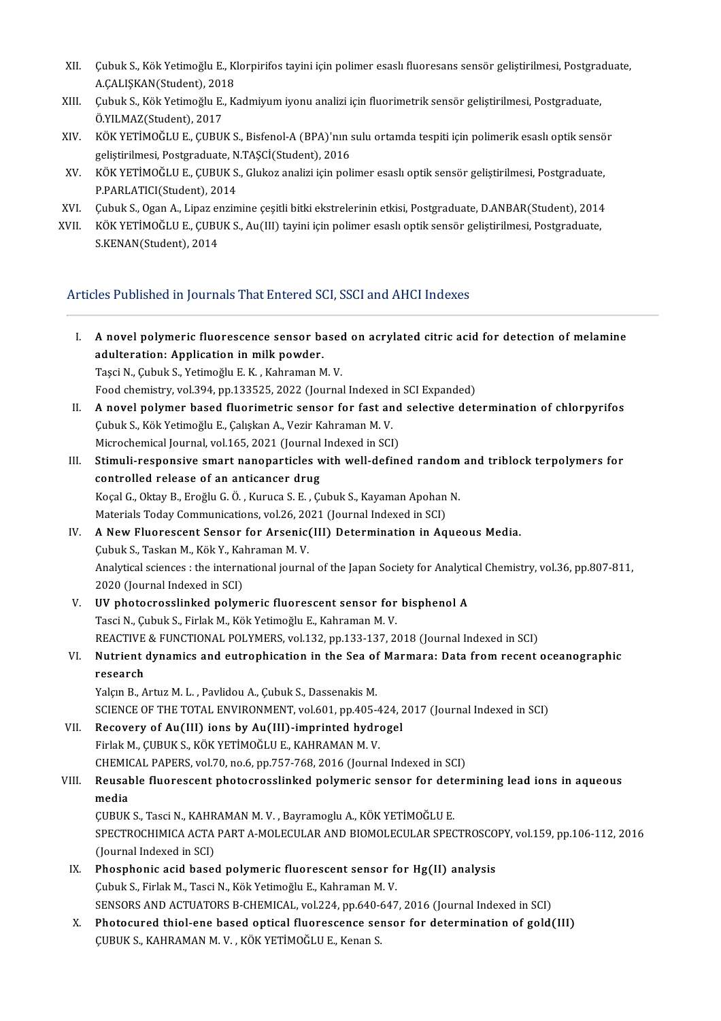- XII. Çubuk S., Kök Yetimoğlu E., Klorpirifos tayini için polimer esaslı fluoresans sensör geliştirilmesi, Postgraduate,<br>A.CALISKAN(Student), 2019 Çubuk S., Kök Yetimoğlu E., K.<br>A.ÇALIŞKAN(Student), 2018<br>Cubuk S., Kök Yetimoğlu E., K. XII. Çubuk S., Kök Yetimoğlu E., Klorpirifos tayini için polimer esaslı fluoresans sensör geliştirilmesi, Postgraduate,<br>A.ÇALIŞKAN(Student), 2018<br>XIII. Çubuk S., Kök Yetimoğlu E., Kadmiyum iyonu analizi için fluorimetrik s
- A.ÇALIŞKAN(Student), 201<br>Çubuk S., Kök Yetimoğlu E.,<br>Ö.YILMAZ(Student), 2017<br>VÖK YETİMOĞLU E. GUPU XIII. Çubuk S., Kök Yetimoğlu E., Kadmiyum iyonu analizi için fluorimetrik sensör geliştirilmesi, Postgraduate,<br>Ö.YILMAZ(Student), 2017<br>XIV. KÖK YETİMOĞLU E., ÇUBUK S., Bisfenol-A (BPA)'nın sulu ortamda tespiti için polime
- Ö.YILMAZ(Student), 2017<br>KÖK YETİMOĞLU E., ÇUBUK S., Bisfenol-A (BPA)'nın s<br>geliştirilmesi, Postgraduate, N.TAŞCİ(Student), 2016<br>KÖK YETİMOĞLU E. CUBUK S. Glukez analizi için poli XIV. KÖK YETİMOĞLU E., ÇUBUK S., Bisfenol-A (BPA)'nın sulu ortamda tespiti için polimerik esaslı optik sensö<br>geliştirilmesi, Postgraduate, N.TAŞCİ(Student), 2016<br>XV. KÖK YETİMOĞLU E., ÇUBUK S., Glukoz analizi için polimer
- geliştirilmesi, Postgraduate, N.TAŞCİ(Student), 2016<br>KÖK YETİMOĞLU E., ÇUBUK S., Glukoz analizi için polimer esaslı optik sensör geliştirilmesi, Postgraduate,<br>P.PARLATICI(Student), 2014<br>Çubuk S., Ogan A., Lipaz enzimine çe XV. KÖK YETİMOĞLU E., ÇUBUK S., Glukoz analizi için polimer esaslı optik sensör geliştirilmesi, Postgraduate,<br>P.PARLATICI(Student), 2014<br>XVI. Çubuk S., Ogan A., Lipaz enzimine çeşitli bitki ekstrelerinin etkisi, Postgradua
- 
- P.PARLATICI(Student), 2014<br>XVI. Gubuk S., Ogan A., Lipaz enzimine çeşitli bitki ekstrelerinin etkisi, Postgraduate, D.ANBAR(Student), 2014<br>XVII. KÖK YETİMOĞLU E., ÇUBUK S., Au(III) tayini için polimer esaslı optik sensör g Çubuk S., Ogan A., Lipaz eı<br>KÖK YETİMOĞLU E., ÇUBU<br>S.KENAN(Student), 2014

# ArticlesPublishedinJournalsThatEnteredSCI,SSCIandAHCI Indexes

| Ι.    | A novel polymeric fluorescence sensor based on acrylated citric acid for detection of melamine                     |
|-------|--------------------------------------------------------------------------------------------------------------------|
|       | adulteration: Application in milk powder.                                                                          |
|       | Taşci N., Çubuk S., Yetimoğlu E. K., Kahraman M. V.                                                                |
|       | Food chemistry, vol.394, pp.133525, 2022 (Journal Indexed in SCI Expanded)                                         |
| Н.    | A novel polymer based fluorimetric sensor for fast and selective determination of chlorpyrifos                     |
|       | Çubuk S., Kök Yetimoğlu E., Çalışkan A., Vezir Kahraman M. V.                                                      |
|       | Microchemical Journal, vol.165, 2021 (Journal Indexed in SCI)                                                      |
| III.  | Stimuli-responsive smart nanoparticles with well-defined random and triblock terpolymers for                       |
|       | controlled release of an anticancer drug                                                                           |
|       | Koçal G., Oktay B., Eroğlu G. Ö., Kuruca S. E., Çubuk S., Kayaman Apohan N.                                        |
|       | Materials Today Communications, vol.26, 2021 (Journal Indexed in SCI)                                              |
| IV.   | A New Fluorescent Sensor for Arsenic(III) Determination in Aqueous Media.                                          |
|       | Çubuk S., Taskan M., Kök Y., Kahraman M. V.                                                                        |
|       | Analytical sciences : the international journal of the Japan Society for Analytical Chemistry, vol.36, pp.807-811, |
|       | 2020 (Journal Indexed in SCI)                                                                                      |
| V.    | UV photocrosslinked polymeric fluorescent sensor for bisphenol A                                                   |
|       | Tasci N., Çubuk S., Firlak M., Kök Yetimoğlu E., Kahraman M. V.                                                    |
|       | REACTIVE & FUNCTIONAL POLYMERS, vol.132, pp.133-137, 2018 (Journal Indexed in SCI)                                 |
| VI.   | Nutrient dynamics and eutrophication in the Sea of Marmara: Data from recent oceanographic<br>research             |
|       | Yalçın B., Artuz M. L., Pavlidou A., Çubuk S., Dassenakis M.                                                       |
|       | SCIENCE OF THE TOTAL ENVIRONMENT, vol.601, pp.405-424, 2017 (Journal Indexed in SCI)                               |
| VII.  | Recovery of Au(III) ions by Au(III)-imprinted hydrogel                                                             |
|       | Firlak M., ÇUBUK S., KÖK YETİMOĞLU E., KAHRAMAN M. V.                                                              |
|       | CHEMICAL PAPERS, vol 70, no 6, pp 757-768, 2016 (Journal Indexed in SCI)                                           |
| VIII. | Reusable fluorescent photocrosslinked polymeric sensor for determining lead ions in aqueous<br>media               |
|       | ÇUBUK S., Tasci N., KAHRAMAN M. V., Bayramoglu A., KÖK YETİMOĞLU E.                                                |
|       | SPECTROCHIMICA ACTA PART A-MOLECULAR AND BIOMOLECULAR SPECTROSCOPY, vol.159, pp.106-112, 2016                      |
|       | (Journal Indexed in SCI)                                                                                           |
| IX.   | Phosphonic acid based polymeric fluorescent sensor for Hg(II) analysis                                             |
|       | Çubuk S., Firlak M., Tasci N., Kök Yetimoğlu E., Kahraman M. V.                                                    |
|       | SENSORS AND ACTUATORS B-CHEMICAL, vol.224, pp.640-647, 2016 (Journal Indexed in SCI)                               |
| Χ.    | Photocured thiol-ene based optical fluorescence sensor for determination of gold(III)                              |
|       | ÇUBUK S., KAHRAMAN M. V., KÖK YETİMOĞLU E., Kenan S.                                                               |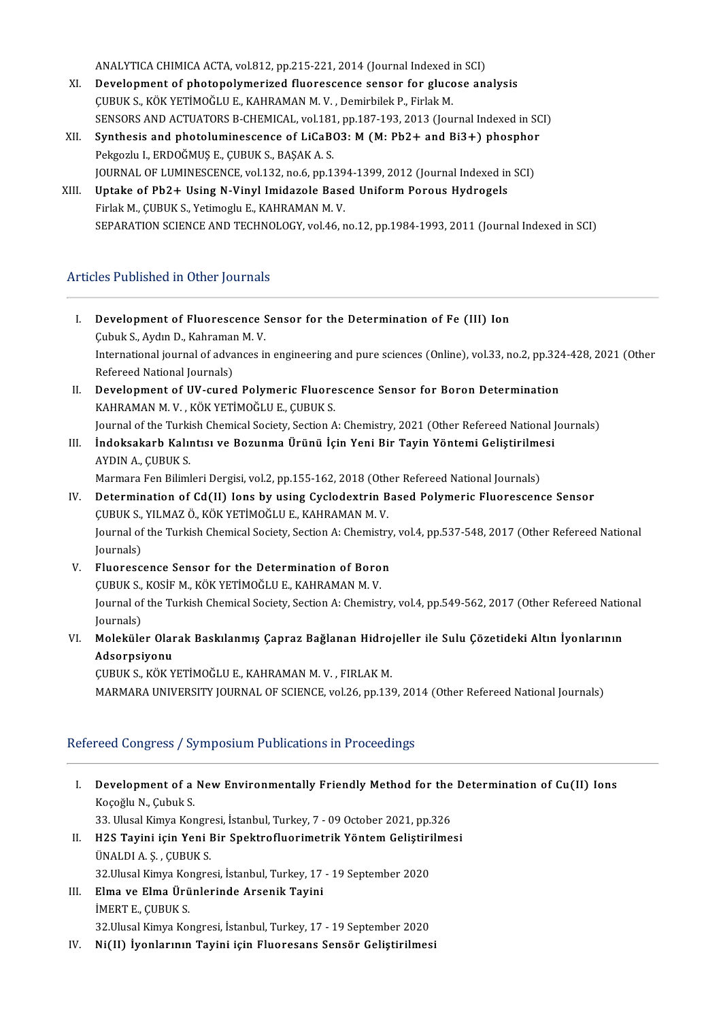ANALYTICA CHIMICA ACTA, vol.812, pp.215-221, 2014 (Journal Indexed in SCI)<br>Development of photonelymenized flyoreesense sensor for slysese any

- XI. Development of photopolymerized fluorescence sensor for glucose analysis ANALYTICA CHIMICA ACTA, vol.812, pp.215-221, 2014 (Journal Indexed i<br>Development of photopolymerized fluorescence sensor for glucc<br>ÇUBUK S., KÖK YETİMOĞLU E., KAHRAMAN M. V. , Demirbilek P., Firlak M.<br>SENSORS AND ACTUATORS SENSORS AND ACTUATORS B-CHEMICAL, vol.181, pp.187-193, 2013 (Journal Indexed in SCI) CUBUK S., KÖK YETİMOĞLU E., KAHRAMAN M. V. , Demirbilek P., Firlak M.<br>SENSORS AND ACTUATORS B-CHEMICAL, vol.181, pp.187-193, 2013 (Journal Indexed in SC<br>XII. Synthesis and photoluminescence of LiCaBO3: M (M: Pb2+ and Bi3+)
- Pekgozlu I., ERDOĞMUŞ E., ÇUBUK S., BAŞAK A. S. Synthesis and photoluminescence of LiCaBO3: M (M: Pb2+ and Bi3+) phosphor<br>Pekgozlu I., ERDOĞMUŞ E., ÇUBUK S., BAŞAK A. S.<br>JOURNAL OF LUMINESCENCE, vol.132, no.6, pp.1394-1399, 2012 (Journal Indexed in SCI)<br>Untake of Pb2 L Pekgozlu I., ERDOĞMUŞ E., ÇUBUK S., BAŞAK A. S.<br>JOURNAL OF LUMINESCENCE, vol.132, no.6, pp.1394-1399, 2012 (Journal Indexed in<br>XIII. Uptake of Pb2+ Using N-Vinyl Imidazole Based Uniform Porous Hydrogels
- FOURNAL OF LUMINESCENCE, vol.132, no.6, pp.139<br>Uptake of Pb2+ Using N-Vinyl Imidazole Base<br>Firlak M., ÇUBUK S., Yetimoglu E., KAHRAMAN M. V.<br>SERARATION SCIENCE AND TECHNOLOCY vol.46 r Uptake of Pb2+ Using N-Vinyl Imidazole Based Uniform Porous Hydrogels<br>Firlak M., ÇUBUK S., Yetimoglu E., KAHRAMAN M. V.<br>SEPARATION SCIENCE AND TECHNOLOGY, vol.46, no.12, pp.1984-1993, 2011 (Journal Indexed in SCI)

### Articles Published in Other Journals

- I. Development of Fluorescence Sensor for the Determination of Fe (III) Ion **Development of Fluorescence S.**<br>Cubuk S., Aydın D., Kahraman M. V.<br>International journal of advances is International journal of advances in engineering and pure sciences (Online), vol.33, no.2, pp.324-428, 2021 (Other Refereed National Journals) Cubuk S., Aydın D., Kahramaı<br>International journal of adva<br>Refereed National Journals)<br>Development of IW. sured International journal of advances in engineering and pure sciences (Online), vol.33, no.2, pp.324<br>Refereed National Journals)<br>II. Development of UV-cured Polymeric Fluorescence Sensor for Boron Determination<br>KAHRAMAN M. V.
- Refereed National Journals)<br><mark>Development of UV-cured Polymeric Fluore</mark><br>KAHRAMAN M. V. , KÖK YETİMOĞLU E., ÇUBUK S.<br>Journal of the Turkish Chamical Sociaty, Section A Development of UV-cured Polymeric Fluorescence Sensor for Boron Determination<br>KAHRAMAN M. V. , KÖK YETİMOĞLU E., ÇUBUK S.<br>Journal of the Turkish Chemical Society, Section A: Chemistry, 2021 (Other Refereed National Journal
- KAHRAMAN M. V. , KÖK YETİMOĞLU E., ÇUBUK S.<br>Journal of the Turkish Chemical Society, Section A: Chemistry, 2021 (Other Refereed National J<br>III. İndoksakarb Kalıntısı ve Bozunma Ürünü İçin Yeni Bir Tayin Yöntemi Gelişti Journal of the Turki<br><mark>İndoksakarb Kalıı</mark><br>AYDIN A., ÇUBUK S.<br>Marmara Fan Biliml İndoksakarb Kalıntısı ve Bozunma Ürünü İçin Yeni Bir Tayin Yöntemi Geliştirilme<br>AYDIN A., ÇUBUK S.<br>Marmara Fen Bilimleri Dergisi, vol.2, pp.155-162, 2018 (Other Refereed National Journals)<br>Determination of Cd(II) Jons by u

Marmara Fen Bilimleri Dergisi, vol.2, pp.155-162, 2018 (Other Refereed National Journals)

- AYDIN A., ÇUBUK S.<br>Marmara Fen Bilimleri Dergisi, vol.2, pp.155-162, 2018 (Other Refereed National Journals)<br>IV. Determination of Cd(II) Ions by using Cyclodextrin Based Polymeric Fluorescence Sensor<br>CUBUK S., YILMAZ Ö Determination of Cd(II) Ions by using Cyclodextrin Based Polymeric Fluorescence Sensor<br>ÇUBUK S., YILMAZ Ö., KÖK YETİMOĞLU E., KAHRAMAN M. V.<br>Journal of the Turkish Chemical Society, Section A: Chemistry, vol.4, pp.537-548, CUBUK S.,<br>Journal of<br>Journals)<br>Elueress Journal of the Turkish Chemical Society, Section A: Chemistry<br>Journals)<br>V. Fluorescence Sensor for the Determination of Boron<br>CUBUV S. VOSIE M. VÖV VETİMOĞU U.E. VAHPAMAN M.V.
- Journals)<br>V. Fluorescence Sensor for the Determination of Boron<br>CUBUK S., KOSİF M., KÖK YETİMOĞLU E., KAHRAMAN M. V. Fluorescence Sensor for the Determination of Boron<br>ÇUBUK S., KOSİF M., KÖK YETİMOĞLU E., KAHRAMAN M. V.<br>Journal of the Turkish Chemical Society, Section A: Chemistry, vol.4, pp.549-562, 2017 (Other Refereed National<br>Journa CUBUK S.,<br>Journal of<br>Journals)<br>Moleküle Journal of the Turkish Chemical Society, Section A: Chemistry, vol.4, pp.549-562, 2017 (Other Refereed Natio<br>Journals)<br>VI. Moleküler Olarak Baskılanmış Çapraz Bağlanan Hidrojeller ile Sulu Çözetideki Altın İyonlarının<br>Adso
- Journals)<br><mark>Moleküler Olar</mark><br>Adsorpsiyonu<br><sub>CUPUV</sub> s. *vöv* v Moleküler Olarak Baskılanmış Çapraz Bağlanan Hidro<br>Adsorpsiyonu<br>ÇUBUK S., KÖK YETİMOĞLU E., KAHRAMAN M. V. , FIRLAK M.<br>MARMARA UNIVERSITY JOURNAL OF SCIENCE val 26-nn 128

Adsorpsiyonu<br>ÇUBUK S., KÖK YETİMOĞLU E., KAHRAMAN M. V. , FIRLAK M.<br>MARMARA UNIVERSITY JOURNAL OF SCIENCE, vol.26, pp.139, 2014 (Other Refereed National Journals)

### Refereed Congress / Symposium Publications in Proceedings

- efereed Congress / Symposium Publications in Proceedings<br>I. Development of a New Environmentally Friendly Method for the Determination of Cu(II) Ions<br>Koseğlu N. Cubuk S **Development of a**<br>Koçoğlu N., Çubuk S.<br><sup>22 Hlucal Kimua Kor</sub></sup> Development of a New Environmentally Friendly Method for the<br>Koçoğlu N., Çubuk S.<br>33. Ulusal Kimya Kongresi, İstanbul, Turkey, 7 - 09 October 2021, pp.326<br>H2S Tavini isin Yoni Bir Spektrofluorimetrik Yöntem Gelistirilme Koçoğlu N., Çubuk S.<br>33. Ulusal Kimya Kongresi, İstanbul, Turkey, 7 - 09 October 2021, pp.326<br>II. H2S Tayini için Yeni Bir Spektrofluorimetrik Yöntem Geliştirilmesi<br>İNALDLA S. GUPUK S. 33. Ulusal Kimya Kongresi, İstanbul, Turkey, 7 - 09 October 2021, pp.326<br>H2S Tayini için Yeni Bir Spektrofluorimetrik Yöntem Geliştirilme<br>ÜNALDI A. Ş. , ÇUBUK S.<br>32.Ulusal Kimya Kongresi, İstanbul, Turkey, 17 - 19 Septembe H2S Tayini için Yeni Bir Spektrofluorimetrik Yöntem Geliştiri<br>ÜNALDI A. Ş. , ÇUBUK S.<br>32.Ulusal Kimya Kongresi, İstanbul, Turkey, 17 - 19 September 2020<br>Elma ve Elma Ününlerinde Arsenik Tayini III. Elma ve Elma Ürünlerinde Arsenik Tayini İMERTE.,ÇUBUKS. 32. Ulusal Kimya Kongresi, İstanbul, Turkey, 17 - 19 September 2020
- IV. Ni(II) İyonlarının Tayini için Fluoresans Sensör Geliştirilmesi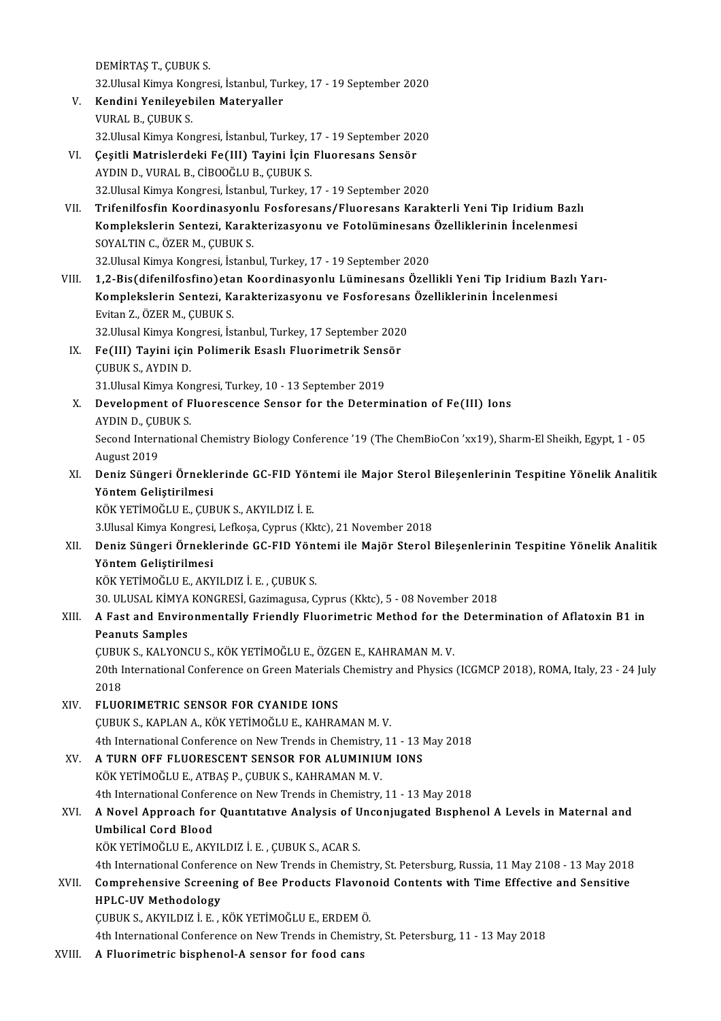DEMİRTAŞ T., ÇUBUK S.

32.UlusalKimyaKongresi, İstanbul,Turkey,17-19September 2020

- DEMİRTAŞ T., ÇUBUK S.<br>32.Ulusal Kimya Kongresi, İstanbul, Tur<br>V. Kendini Yenileyebilen Materyaller<br>V.URAL B. GUBUK S. 32.Ulusal Kimya Kor<br><mark>Kendini Yenileyeb</mark><br>VURAL B., ÇUBUK S.<br><sup>22 Hlusal Kimua Kor</sub></sup> Kendini Yenileyebilen Materyaller<br>VURAL B., ÇUBUK S.<br>32.Ulusal Kimya Kongresi, İstanbul, Turkey, 17 - 19 September 2020<br>Cesitli Matrislardaki Fe(III) Tavini İsin Eluarasans Sansör VURAL B., ÇUBUK S.<br>32.Ulusal Kimya Kongresi, İstanbul, Turkey, 17 - 19 September 202<br>VI. Geşitli Matrislerdeki Fe(III) Tayini İçin Fluoresans Sensör
- 32.Ulusal Kimya Kongresi, İstanbul, Turkey, 1<br>Çeşitli Matrislerdeki Fe(III) Tayini İçin<br>AYDIN D., VURAL B., CİBOOĞLU B., ÇUBUK S.<br>22 Hural Kimya Kongresi, İstanbul Turkov, 1 Çeşitli Matrislerdeki Fe(III) Tayini İçin Fluoresans Sensör<br>AYDIN D., VURAL B., CİBOOĞLU B., ÇUBUK S.<br>32.Ulusal Kimya Kongresi, İstanbul, Turkey, 17 - 19 September 2020<br>Trifonilfosfin Koordinasyonlu Fosforesans (Eluoresans AYDIN D., VURAL B., CİBOOĞLU B., ÇUBUK S.<br>32.Ulusal Kimya Kongresi, İstanbul, Turkey, 17 - 19 September 2020<br>VII. Trifenilfosfin Koordinasyonlu Fosforesans/Fluoresans Karakterli Yeni Tip Iridium Bazlı
- 32.Ulusal Kimya Kongresi, İstanbul, Turkey, 17 19 September 2020<br>Trifenilfosfin Koordinasyonlu Fosforesans/Fluoresans Karakterli Yeni Tip Iridium Bazl<br>Komplekslerin Sentezi, Karakterizasyonu ve Fotolüminesans Özellikleri Trifenilfosfin Koordinasyonlı<br>Komplekslerin Sentezi, Karak<br>SOYALTIN C., ÖZER M., ÇUBUK S.<br>22 Hlusel Kimua Kongresi, İstanb Komplekslerin Sentezi, Karakterizasyonu ve Fotolüminesans<br>SOYALTIN C., ÖZER M., ÇUBUK S.<br>32.Ulusal Kimya Kongresi, İstanbul, Turkey, 17 - 19 September 2020<br>1.2. Bis(difanilfasfina) atan Kaardinasyonlu J üminesans Özel SOYALTIN C., ÖZER M., ÇUBUK S.<br>32.Ulusal Kimya Kongresi, İstanbul, Turkey, 17 - 19 September 2020<br>VIII. 1,2-Bis(difenilfosfino)etan Koordinasyonlu Lüminesans Özellikli Yeni Tip Iridium Bazlı Yarı-

32.Ulusal Kimya Kongresi, İstanbul, Turkey, 17 - 19 September 2020<br>1,2-Bis(difenilfosfino)etan Koordinasyonlu Lüminesans Özellikli Yeni Tip Iridium Ba<br>Komplekslerin Sentezi, Karakterizasyonu ve Fosforesans Özelliklerinin İ 1,2-Bis(difenilfosfino)eta<br>Komplekslerin Sentezi, Ka<br>Evitan Z., ÖZER M., ÇUBUK S.<br>22 Ulugal Kimus Kongresi, İst Komplekslerin Sentezi, Karakterizasyonu ve Fosforesans<br>Evitan Z., ÖZER M., ÇUBUK S.<br>32.Ulusal Kimya Kongresi, İstanbul, Turkey, 17 September 2020<br>Es(III) Tavini isin Bolimerik Essalı Eluarimetrik Sensör

32 Ulusal Kimya Kongresi, İstanbul, Turkey, 17 September 2020

## Evitan Z., ÖZER M., ÇUBUK S.<br>32.Ulusal Kimya Kongresi, İstanbul, Turkey, 17 September 2020<br>IX. Fe(III) Tayini için Polimerik Esaslı Fluorimetrik Sensör<br>CUBUK S., AYDIN D. Fe(III) Tayini için Polimerik Esaslı Fluorimetrik Sens<br>ÇUBUK S., AYDIN D.<br>31.Ulusal Kimya Kongresi, Turkey, 10 - 13 September 2019<br>Pevelarment of Eluoressense Senser far the Determ

X. Development of Fluorescence Sensor for the Determination of Fe(III) Ions 31.Ulusal Kimya Kor<br>Development of F<br>AYDIN D., ÇUBUK S.<br>Second Internations Second International Chemistry Biology Conference '19 (The ChemBioCon 'xx19), Sharm-El Sheikh, Egypt, 1 - 05<br>August 2019 AYDIN D., CUBUK S.

### Second International Chemistry Biology Conference '19 (The ChemBioCon 'xx19), Sharm-El Sheikh, Egypt, 1 - 05<br>August 2019<br>XI. Deniz Süngeri Örneklerinde GC-FID Yöntemi ile Major Sterol Bileşenlerinin Tespitine Yönelik Anali August 2019<br><mark>Deniz Süngeri Örnekl</mark><br>Yöntem Geliştirilmesi<br>*vöv y*eriMoğlu E. CUP Deniz Süngeri Örneklerinde GC-FID Yön<br>Yöntem Geliştirilmesi<br>KÖK YETİMOĞLU E., ÇUBUK S., AKYILDIZ İ. E.<br>2 Husal Kimua Kanaresi Lafkasa Cunrus (Kl Yöntem Geliştirilmesi<br>KÖK YETİMOĞLU E., ÇUBUK S., AKYILDIZ İ. E.<br>3.Ulusal Kimya Kongresi, Lefkoşa, Cyprus (Kktc), 21 November 2018

### XII. Deniz Süngeri Örneklerinde GC-FID Yöntemi ile Majör Sterol Bileşenlerinin Tespitine Yönelik Analitik Yöntem Geliştirilmesi

KÖKYETİMOĞLUE.,AKYILDIZ İ.E. ,ÇUBUKS.

30. ULUSAL KİMYA KONGRESİ, Gazimagusa, Cyprus (Kktc), 5 - 08 November 2018

## KÖK YETİMOĞLU E., AKYILDIZ İ. E. , ÇUBUK S.<br>30. ULUSAL KİMYA KONGRESİ, Gazimagusa, Cyprus (Kktc), 5 - 08 November 2018<br>XIII. A Fast and Environmentally Friendly Fluorimetric Method for the Determination of Aflatoxin B1 30. ULUSAL KİMYA<br>A Fast and Enviro<br>Peanuts Samples<br>CUBUK S. KALYON A Fast and Environmentally Friendly Fluorimetric Method for the<br>Peanuts Samples<br>ÇUBUK S., KALYONCU S., KÖK YETİMOĞLU E., ÖZGEN E., KAHRAMAN M. V.<br>20th International Conference en Creen Meterials Chemistry and Physics

Peanuts Samples<br>ÇUBUK S., KALYONCU S., KÖK YETİMOĞLU E., ÖZGEN E., KAHRAMAN M. V.<br>20th International Conference on Green Materials Chemistry and Physics (ICGMCP 2018), ROMA, Italy, 23 - 24 July<br>2018 CUBU<br>20th I<br>2018<br>ELUO 20th International Conference on Green Materials<br>2018<br>XIV. FLUORIMETRIC SENSOR FOR CYANIDE IONS<br>CUPULS VAPLAN A VÖV VETIMOČU JE VAHRA

2018<br>XIV. FLUORIMETRIC SENSOR FOR CYANIDE IONS<br>ÇUBUK S., KAPLAN A., KÖK YETİMOĞLU E., KAHRAMAN M. V.

4th International Conference on New Trends in Chemistry, 11 - 13 May 2018

XV. A TURN OFF FLUORESCENT SENSOR FOR ALUMINIUMIONS KÖK YETİMOĞLU E, ATBAŞ P, ÇUBUK S, KAHRAMANM.V. A TURN OFF FLUORESCENT SENSOR FOR ALUMINIUM IONS<br>KÖK YETİMOĞLU E., ATBAŞ P., ÇUBUK S., KAHRAMAN M. V.<br>4th International Conference on New Trends in Chemistry, 11 - 13 May 2018<br>A Navel Annreach for Quantitative Analysis of

## KÖK YETİMOĞLU E., ATBAŞ P., ÇUBUK S., KAHRAMAN M. V.<br>4th International Conference on New Trends in Chemistry, 11 - 13 May 2018<br>XVI. A Novel Approach for Quantitative Analysis of Unconjugated Bisphenol A Levels in Mater 4th International Confere<br>A Novel Approach for<br>Umbilical Cord Blood<br><sup>VÖV VETİMOČLU E. AVV</sup> A Novel Approach for Quantitative Analysis of U<br>Umbilical Cord Blood<br>KÖK YETİMOĞLU E., AKYILDIZ İ. E. , ÇUBUK S., ACAR S.<br>4th International Conference on New Trands in Chemi

Umbilical Cord Blood<br>KÖK YETİMOĞLU E., AKYILDIZ İ. E. , ÇUBUK S., ACAR S.<br>4th International Conference on New Trends in Chemistry, St. Petersburg, Russia, 11 May 2108 - 13 May 2018

KÖK YETİMOĞLU E., AKYILDIZ İ. E. , ÇUBUK S., ACAR S.<br>4th International Conference on New Trends in Chemistry, St. Petersburg, Russia, 11 May 2108 - 13 May 2018<br>XVII. Comprehensive Screening of Bee Products Flavonoid Conten HPLC-UV Methodology<br>CUBUK S., AKYILDIZ İ. E. , KÖK YETİMOĞLU E., ERDEM Ö. Comprehensive Screening of Bee Products Flavon<br>HPLC-UV Methodology<br>ÇUBUK S., AKYILDIZ İ. E. , KÖK YETİMOĞLU E., ERDEMÖ.<br>4th International Conference en New Tranda in Chamisti

4th International Conference on New Trends in Chemistry, St. Petersburg, 11 - 13 May 2018

XVIII. A Fluorimetric bisphenol-A sensor for food cans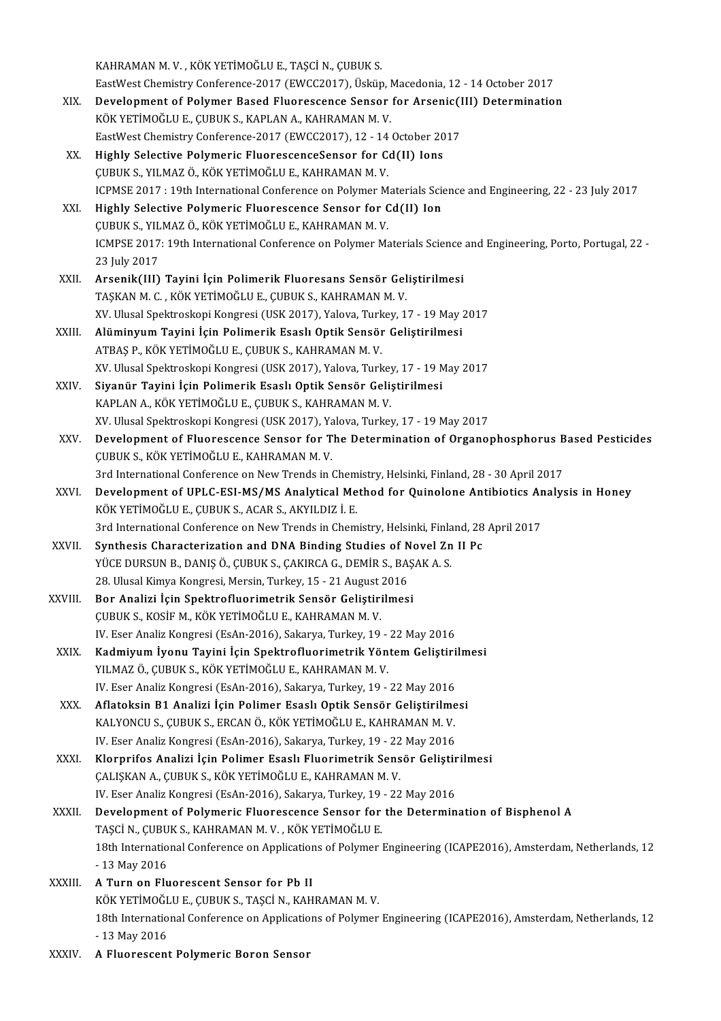KAHRAMANM.V., KÖKYETİMOĞLUE., TAŞCİN., ÇUBUKS.

KAHRAMAN M. V. , KÖK YETİMOĞLU E., TAŞCİ N., ÇUBUK S.<br>EastWest Chemistry Conference-2017 (EWCC2017), Üsküp, Macedonia, 12 - 14 October 2017<br>Pavelanmant of Polyman Basad Elyansssansa Sansan fan Ansanis(III) Patamminatio

- KAHRAMAN M. V. , KÖK YETİMOĞLU E., TAŞCİ N., ÇUBUK S.<br>EastWest Chemistry Conference-2017 (EWCC2017), Üsküp, Macedonia, 12 14 October 2017<br>XIX. Development of Polymer Based Fluorescence Sensor for Arsenic(III) Determinati EastWest Chemistry Conference-2017 (EWCC2017), Üsküp, I<br>Development of Polymer Based Fluorescence Sensor<br>KÖK YETİMOĞLU E., ÇUBUK S., KAPLAN A., KAHRAMAN M. V.<br>FestWest Chemistry Conference 2017 (EWCC2017), 12, 14, Development of Polymer Based Fluorescence Sensor for Arsenic(I<br>KÖK YETİMOĞLU E., ÇUBUK S., KAPLAN A., KAHRAMAN M. V.<br>EastWest Chemistry Conference-2017 (EWCC2017), 12 - 14 October 2017<br>Highly Soloctive Polymoric Elyerescon KÖK YETİMOĞLU E., ÇUBUK S., KAPLAN A., KAHRAMAN M. V.<br>EastWest Chemistry Conference-2017 (EWCC2017), 12 - 14 October 2017<br>XX. Highly Selective Polymeric FluorescenceSensor for Cd(II) Ions
- ÇUBUKS.,YILMAZÖ.,KÖKYETİMOĞLUE.,KAHRAMANM.V. ICPMSE 2017: 19th International Conference on Polymer Materials Science and Engineering, 22 - 23 July 2017 CUBUK S., YILMAZ Ö., KÖK YETİMOĞLU E., KAHRAMAN M. V.<br>ICPMSE 2017 : 19th International Conference on Polymer Materials Sciency<br>XXI. Highly Selective Polymeric Fluorescence Sensor for Cd(II) Ion<br>CUBUK S. VILMAZ Ö. KÖK VETİM
- ICPMSE 2017 : 19th International Conference on Polymer M<br>Highly Selective Polymeric Fluorescence Sensor for C<br>ÇUBUK S., YILMAZ Ö., KÖK YETİMOĞLU E., KAHRAMAN M. V.<br>ICMBSE 2017: 19th International Conference on Polymer Me ICMPSE 2017: 19th International Conference on Polymer Materials Science and Engineering, Porto, Portugal, 22 -<br>23 Iuly 2017 CUBUK S., YILMAZ Ö., KÖK YETİMOĞLU E., KAHRAMAN M. V.
- XXII. Arsenik(III) Tayini İçin Polimerik Fluoresans Sensör Geliştirilmesi TAŞKANM.C., KÖKYETİMOĞLUE., ÇUBUKS., KAHRAMANM.V. Arsenik(III) Tayini İçin Polimerik Fluoresans Sensör Geliştirilmesi<br>TAŞKAN M. C. , KÖK YETİMOĞLU E., ÇUBUK S., KAHRAMAN M. V.<br>XV. Ulusal Spektroskopi Kongresi (USK 2017), Yalova, Turkey, 17 - 19 May 2017<br>Alüminyum Tovini İ
- XXIII. Alüminyum Tayini İçin Polimerik Esaslı Optik Sensör Geliştirilmesi<br>ATBAŞ P., KÖK YETİMOĞLU E., ÇUBUK S., KAHRAMAN M. V. XV. Ulusal Spektroskopi Kongresi (USK 2017), Yalova, Turk<br><mark>Alüminyum Tayini İçin Polimerik Esaslı Optik Sensör</mark><br>ATBAŞ P., KÖK YETİMOĞLU E., ÇUBUK S., KAHRAMAN M. V.<br>YV. Ulusal Spektroskopi Kongresi (USK 2017), Yalova Turk XV.UlusalSpektroskopiKongresi (USK2017),Yalova,Turkey,17-19May2017
- XXIV. Siyanür Tayini İçin Polimerik Esaslı Optik Sensör Geliştirilmesi KAPLAN A., KÖK YETİMOĞLU E., ÇUBUK S., KAHRAMAN M.V. XV.UlusalSpektroskopiKongresi (USK2017),Yalova,Turkey,17-19May2017
- XXV. Development of Fluorescence Sensor for The Determination of Organophosphorus Based Pesticides ÇUBUK S., KÖK YETİMOĞLU E., KAHRAMAN M. V. 3rd International Conference on New Trends in Chemistry, Helsinki, Finland, 28 - 30 April 2017 CUBUK S., KÖK YETİMOĞLU E., KAHRAMAN M. V.<br>3rd International Conference on New Trends in Chemistry, Helsinki, Finland, 28 - 30 April 2017<br>XXVI. Development of UPLC-ESI-MS/MS Analytical Method for Quinolone Antibiotics
- 3rd International Conference on New Trends in Chem<br>Development of UPLC-ESI-MS/MS Analytical Me<br>KÖK YETİMOĞLU E., ÇUBUK S., ACAR S., AKYILDIZ İ. E.<br>2rd International Conference on New Trends in Chem Development of UPLC-ESI-MS/MS Analytical Method for Quinolone Antibiotics Ar<br>KÖK YETİMOĞLU E., ÇUBUK S., ACAR S., AKYILDIZ İ. E.<br>3rd International Conference on New Trends in Chemistry, Helsinki, Finland, 28 April 2017<br>Syn KÖK YETİMOĞLU E., ÇUBUK S., ACAR S., AKYILDIZ İ. E.<br>3rd International Conference on New Trends in Chemistry, Helsinki, Finland, 28 April 2017<br>XXVII. Synthesis Characterization and DNA Binding Studies of Novel Zn II Pc
- 3rd International Conference on New Trends in Chemistry, Helsinki, Finla<br>Synthesis Characterization and DNA Binding Studies of Novel Zn<br>YÜCE DURSUN B., DANIŞ Ö., ÇUBUK S., ÇAKIRCA G., DEMİR S., BAŞAK A. S.<br>28 Hlucel Kimur Synthesis Characterization and DNA Binding Studies of N<br>YÜCE DURSUN B., DANIŞ Ö., ÇUBUK S., ÇAKIRCA G., DEMİR S., BA:<br>28. Ulusal Kimya Kongresi, Mersin, Turkey, 15 - 21 August 2016<br>Ber Analizi İsin Spektrafluerimetrik Sena YÜCE DURSUN B., DANIŞ Ö., ÇUBUK S., ÇAKIRCA G., DEMİR S., BAŞ<br>28. Ulusal Kimya Kongresi, Mersin, Turkey, 15 - 21 August 2016<br>XXVIII. Bor Analizi İçin Spektrofluorimetrik Sensör Geliştirilmesi<br>CUBUK S. KOSİE M. KÖK VETİMOĞL
- 28. Ulusal Kimya Kongresi, Mersin, Turkey, 15 21 August 2016<br>Bor Analizi İçin Spektrofluorimetrik Sensör Geliştirilmesi<br>ÇUBUK S., KOSİF M., KÖK YETİMOĞLU E., KAHRAMAN M. V. IV. Eser Analiz Kongresi (EsAn-2016), Sakarya, Turkey, 19 - 22 May 2016 CUBUK S., KOSİF M., KÖK YETİMOĞLU E., KAHRAMAN M. V.<br>IV. Eser Analiz Kongresi (EsAn-2016), Sakarya, Turkey, 19 - 22 May 2016<br>XXIX. Kadmiyum İyonu Tayini İçin Spektrofluorimetrik Yöntem Geliştirilmesi<br>XII MAZ Ö. CUPUK S
- YILMAZ Ö., ÇUBUK S., KÖK YETİMOĞLU E., KAHRAMAN M. V.<br>IV. Eser Analiz Kongresi (EsAn-2016), Sakarya, Turkey, 19 22 May 2016 Kadmiyum İyonu Tayini İçin Spektrofluorimetrik Yöntem Geliştiri<br>YILMAZ Ö., ÇUBUK S., KÖK YETİMOĞLU E., KAHRAMAN M. V.<br>IV. Eser Analiz Kongresi (EsAn-2016), Sakarya, Turkey, 19 - 22 May 2016<br>Aflatekain B1 Analizi İsin Belim
- XXX. Aflatoksin B1 Analizi İçin Polimer Esaslı Optik Sensör Geliştirilmesi IV. Eser Analiz Kongresi (EsAn-2016), Sakarya, Turkey, 19 - 22 May 2016<br>**Aflatoksin B1 Analizi İçin Polimer Esaslı Optik Sensör Geliştirilme**<br>KALYONCU S., ÇUBUK S., ERCAN Ö., KÖK YETİMOĞLU E., KAHRAMAN M. V.<br>IV. Eser Anali Aflatoksin B1 Analizi İçin Polimer Esaslı Optik Sensör Geliştirilme<br>KALYONCU S., ÇUBUK S., ERCAN Ö., KÖK YETİMOĞLU E., KAHRAMAN M. V.<br>IV. Eser Analiz Kongresi (EsAn-2016), Sakarya, Turkey, 19 - 22 May 2016<br>Klarnrifos Anali KALYONCU S., ÇUBUK S., ERCAN Ö., KÖK YETİMOĞLU E., KAHRAMAN M. V.<br>IV. Eser Analiz Kongresi (EsAn-2016), Sakarya, Turkey, 19 - 22 May 2016<br>XXXI. Klorprifos Analizi İçin Polimer Esaslı Fluorimetrik Sensör Geliştirilmesi
- IV. Eser Analiz Kongresi (EsAn-2016), Sakarya, Turkey, 19 22 May 2016<br>Klorprifos Analizi İçin Polimer Esaslı Fluorimetrik Sensör Geliştirilmesi<br>ÇALIŞKAN A., ÇUBUK S., KÖK YETİMOĞLU E., KAHRAMAN M. V. Klorprifos Analizi İçin Polimer Esaslı Fluorimetrik Sensör Geliştir<br>ÇALIŞKAN A., ÇUBUK S., KÖK YETİMOĞLU E., KAHRAMAN M. V.<br>IV. Eser Analiz Kongresi (EsAn-2016), Sakarya, Turkey, 19 - 22 May 2016<br>Davelarmant of Bolumaris E
- XXXII. Development of Polymeric Fluorescence Sensor for the Determination of Bisphenol A IV. Eser Analiz Kongresi (EsAn-2016), Sakarya, Turkey, 19<br>Development of Polymeric Fluorescence Sensor for<br>TAŞCİ N., ÇUBUK S., KAHRAMAN M. V. , KÖK YETİMOĞLU E.<br>19th International Conference en Annlisations of Polymor. 18th International Conference on Applications of Polymer Engineering (ICAPE2016), Amsterdam, Netherlands, 12<br>- 13 May 2016 TASCİ N., ÇUBUK S., KAHRAMAN M. V., KÖK YETİMOĞLU E.
- XXXIII. A Turn on Fluorescent Sensor for Pb II - 13 May 2016<br><mark>A Turn on Fluorescent Sensor for Pb II</mark><br>KÖK YETİMOĞLU E., ÇUBUK S., TAŞCİ N., KAHRAMAN M. V.<br>19th International Conference en Annligations of Bolumar 18th International Conference on Applications of Polymer Engineering (ICAPE2016), Amsterdam, Netherlands, 12<br>- 13 May 2016 KÖK YETİMOĞL<br>18th Internatio<br>- 13 May 2016<br>A Eluarossant
- XXXIV. A Fluorescent Polymeric Boron Sensor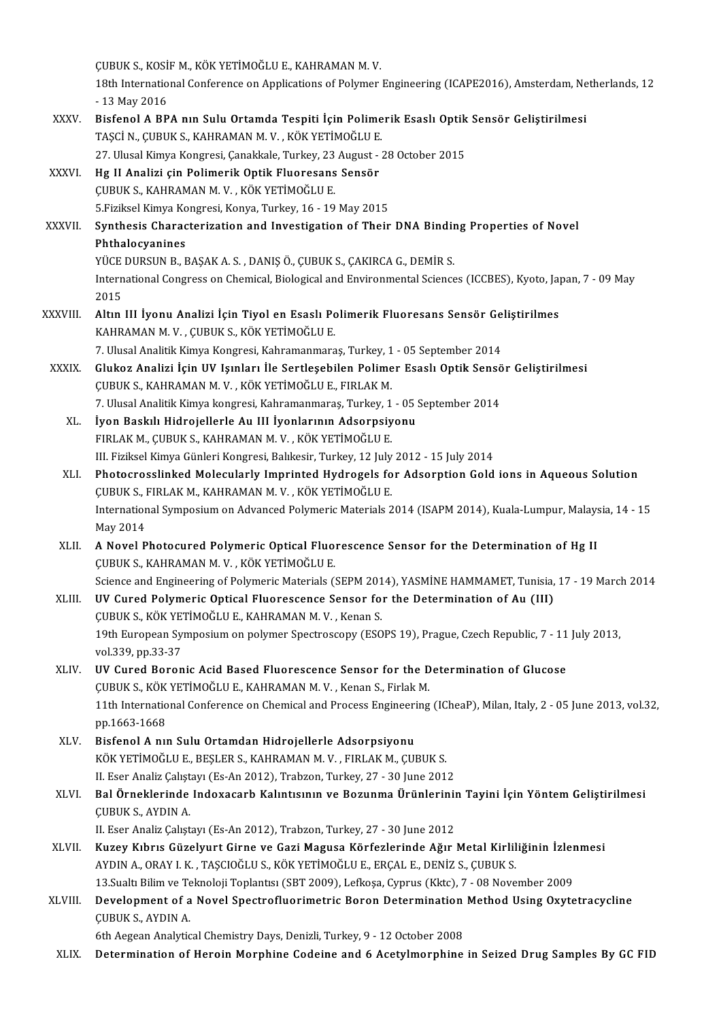|               | ÇUBUK S., KOSİF M., KÖK YETİMOĞLU E., KAHRAMAN M.V.                                                                                                                                   |
|---------------|---------------------------------------------------------------------------------------------------------------------------------------------------------------------------------------|
|               | 18th International Conference on Applications of Polymer Engineering (ICAPE2016), Amsterdam, Netherlands, 12<br>- 13 May 2016                                                         |
| XXXV.         | Bisfenol A BPA nın Sulu Ortamda Tespiti İçin Polimerik Esaslı Optik Sensör Geliştirilmesi<br>TAȘCI N., ÇUBUK S., KAHRAMAN M. V., KÖK YETİMOĞLU E.                                     |
|               | 27. Ulusal Kimya Kongresi, Çanakkale, Turkey, 23 August - 28 October 2015                                                                                                             |
| XXXVI         | Hg II Analizi çin Polimerik Optik Fluoresans Sensör                                                                                                                                   |
|               | ÇUBUK S., KAHRAMAN M. V., KÖK YETİMOĞLU E.                                                                                                                                            |
|               | 5. Fiziksel Kimya Kongresi, Konya, Turkey, 16 - 19 May 2015                                                                                                                           |
| <b>XXXVII</b> | Synthesis Characterization and Investigation of Their DNA Binding Properties of Novel<br>Phthalocyanines                                                                              |
|               | YÜCE DURSUN B., BAŞAK A. S., DANIŞ Ö., ÇUBUK S., ÇAKIRCA G., DEMİR S.                                                                                                                 |
|               | International Congress on Chemical, Biological and Environmental Sciences (ICCBES), Kyoto, Japan, 7 - 09 May<br>2015                                                                  |
| XXXVIII.      | Altın III İyonu Analizi İçin Tiyol en Esaslı Polimerik Fluoresans Sensör Geliştirilmes                                                                                                |
|               | KAHRAMAN M. V., ÇUBUK S., KÖK YETİMOĞLU E.                                                                                                                                            |
|               | 7. Ulusal Analitik Kimya Kongresi, Kahramanmaraș, Turkey, 1 - 05 September 2014                                                                                                       |
| XXXIX.        | Glukoz Analizi İçin UV Işınları İle Sertleşebilen Polimer Esaslı Optik Sensör Geliştirilmesi                                                                                          |
|               | ÇUBUK S., KAHRAMAN M. V., KÖK YETİMOĞLU E., FIRLAK M.                                                                                                                                 |
|               | 7. Ulusal Analitik Kimya kongresi, Kahramanmaraș, Turkey, 1 - 05 September 2014                                                                                                       |
| XL.           | İyon Baskılı Hidrojellerle Au III İyonlarının Adsorpsiyonu                                                                                                                            |
|               | FIRLAK M., ÇUBUK S., KAHRAMAN M. V., KÖK YETİMOĞLU E.                                                                                                                                 |
| XLI.          | III. Fiziksel Kimya Günleri Kongresi, Balıkesir, Turkey, 12 July 2012 - 15 July 2014<br>Photocrosslinked Molecularly Imprinted Hydrogels for Adsorption Gold ions in Aqueous Solution |
|               | ÇUBUK S., FIRLAK M., KAHRAMAN M. V., KÖK YETİMOĞLU E.                                                                                                                                 |
|               | International Symposium on Advanced Polymeric Materials 2014 (ISAPM 2014), Kuala-Lumpur, Malaysia, 14 - 15                                                                            |
|               | May 2014                                                                                                                                                                              |
| XLII.         | A Novel Photocured Polymeric Optical Fluorescence Sensor for the Determination of Hg II<br>ÇUBUK S., KAHRAMAN M. V., KÖK YETİMOĞLU E.                                                 |
|               | Science and Engineering of Polymeric Materials (SEPM 2014), YASMİNE HAMMAMET, Tunisia, 17 - 19 March 2014                                                                             |
| XLIII.        | UV Cured Polymeric Optical Fluorescence Sensor for the Determination of Au (III)<br>ÇUBUK S., KÖK YETİMOĞLU E., KAHRAMAN M.V., Kenan S.                                               |
|               | 19th European Symposium on polymer Spectroscopy (ESOPS 19), Prague, Czech Republic, 7 - 11 July 2013,                                                                                 |
|               | vol 339, pp 33-37                                                                                                                                                                     |
| XLIV.         | UV Cured Boronic Acid Based Fluorescence Sensor for the Determination of Glucose                                                                                                      |
|               | ÇUBUK S., KÖK YETİMOĞLU E., KAHRAMAN M.V., Kenan S., Firlak M.                                                                                                                        |
|               | 11th International Conference on Chemical and Process Engineering (ICheaP), Milan, Italy, 2 - 05 June 2013, vol.32,<br>pp 1663-1668                                                   |
| XLV.          | Bisfenol A nin Sulu Ortamdan Hidrojellerle Adsorpsiyonu                                                                                                                               |
|               | KÖK YETİMOĞLU E., BEŞLER S., KAHRAMAN M.V., FIRLAK M., ÇUBUK S.                                                                                                                       |
|               | II. Eser Analiz Çalıştayı (Es-An 2012), Trabzon, Turkey, 27 - 30 June 2012                                                                                                            |
| XLVI.         | Bal Örneklerinde Indoxacarb Kalıntısının ve Bozunma Ürünlerinin Tayini İçin Yöntem Geliştirilmesi<br><b>CUBUK S., AYDIN A.</b>                                                        |
|               | II. Eser Analiz Çalıştayı (Es-An 2012), Trabzon, Turkey, 27 - 30 June 2012                                                                                                            |
| XLVII.        | Kuzey Kıbrıs Güzelyurt Girne ve Gazi Magusa Körfezlerinde Ağır Metal Kirliliğinin İzlenmesi                                                                                           |
|               | AYDIN A., ORAY I. K., TAȘCIOĞLU S., KÖK YETİMOĞLU E., ERÇAL E., DENİZ S., ÇUBUK S.                                                                                                    |
|               | 13. Sualtı Bilim ve Teknoloji Toplantısı (SBT 2009), Lefkoşa, Cyprus (Kktc), 7 - 08 November 2009                                                                                     |
| XLVIII.       | Development of a Novel Spectrofluorimetric Boron Determination Method Using Oxytetracycline<br>ÇUBUK S., AYDIN A.                                                                     |
|               | 6th Aegean Analytical Chemistry Days, Denizli, Turkey, 9 - 12 October 2008                                                                                                            |
| XLIX.         | Determination of Heroin Morphine Codeine and 6 Acetylmorphine in Seized Drug Samples By GC FID                                                                                        |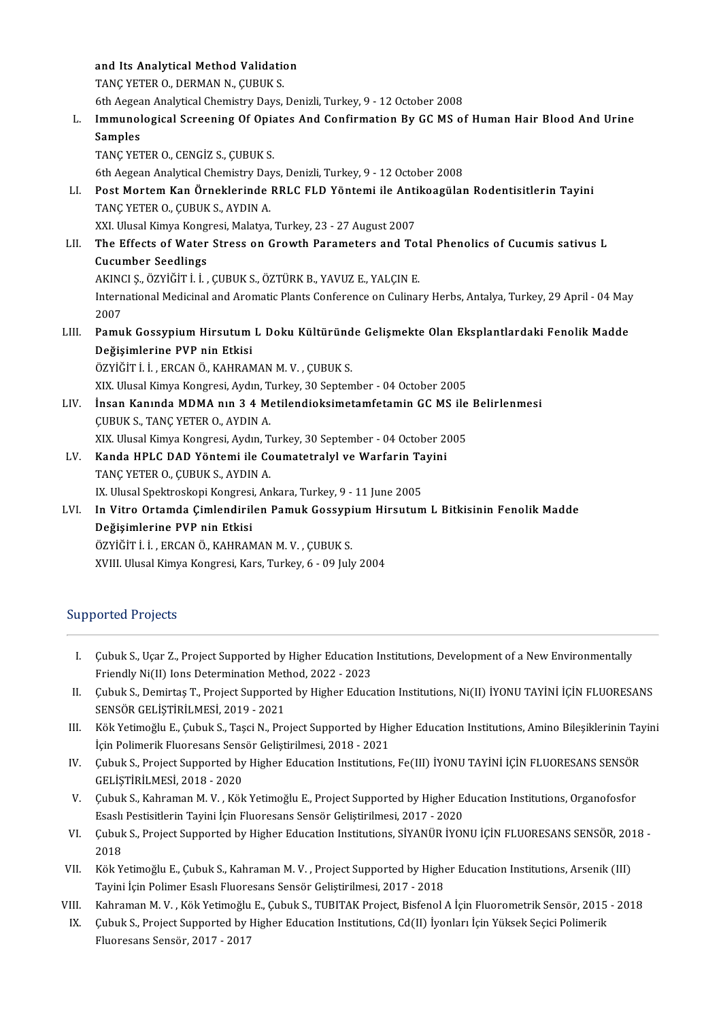|       | and Its Analytical Method Validation                                                                         |
|-------|--------------------------------------------------------------------------------------------------------------|
|       | TANÇ YETER O, DERMAN N, CUBUK S.                                                                             |
|       | 6th Aegean Analytical Chemistry Days, Denizli, Turkey, 9 - 12 October 2008                                   |
| L.    | Immunological Screening Of Opiates And Confirmation By GC MS of Human Hair Blood And Urine                   |
|       | Samples                                                                                                      |
|       | TANÇ YETER O., CENGİZ S., ÇUBUK S.                                                                           |
|       | 6th Aegean Analytical Chemistry Days, Denizli, Turkey, 9 - 12 October 2008                                   |
| LI.   | Post Mortem Kan Örneklerinde RRLC FLD Yöntemi ile Antikoagülan Rodentisitlerin Tayini                        |
|       | TANÇ YETER O, CUBUK S, AYDIN A                                                                               |
|       | XXI. Ulusal Kimya Kongresi, Malatya, Turkey, 23 - 27 August 2007                                             |
| LII.  | The Effects of Water Stress on Growth Parameters and Total Phenolics of Cucumis sativus L                    |
|       | <b>Cucumber Seedlings</b>                                                                                    |
|       | AKINCI Ș., ÖZYİĞİT İ. İ., ÇUBUK S., ÖZTÜRK B., YAVUZ E., YALÇIN E.                                           |
|       | International Medicinal and Aromatic Plants Conference on Culinary Herbs, Antalya, Turkey, 29 April - 04 May |
|       | 2007                                                                                                         |
| LIII. | Pamuk Gossypium Hirsutum L Doku Kültüründe Gelişmekte Olan Eksplantlardaki Fenolik Madde                     |
|       | Değişimlerine PVP nin Etkisi                                                                                 |
|       | ÖZYİĞİTİİ, ERCAN Ö., KAHRAMAN M.V., CUBUK S.                                                                 |
|       | XIX. Ulusal Kimya Kongresi, Aydın, Turkey, 30 September - 04 October 2005                                    |
| LIV.  | Insan Kanında MDMA nın 3 4 Metilendioksimetamfetamin GC MS ile Belirlenmesi                                  |
|       | <b>ÇUBUK S., TANÇ YETER O., AYDIN A.</b>                                                                     |
|       | XIX. Ulusal Kimya Kongresi, Aydın, Turkey, 30 September - 04 October 2005                                    |
| LV.   | Kanda HPLC DAD Yöntemi ile Coumatetralyl ve Warfarin Tayini                                                  |
|       | TANÇ YETER O., ÇUBUK S., AYDIN A.                                                                            |
|       | IX. Ulusal Spektroskopi Kongresi, Ankara, Turkey, 9 - 11 June 2005                                           |
| LVI.  | In Vitro Ortamda Çimlendirilen Pamuk Gossypium Hirsutum L Bitkisinin Fenolik Madde                           |
|       | Değişimlerine PVP nin Etkisi                                                                                 |
|       | ÖZYİĞİT İ. İ., ERCAN Ö., KAHRAMAN M. V., ÇUBUK S.                                                            |

XVIII. Ulusal Kimya Kongresi, Kars, Turkey, 6 - 09 July 2004

### Supported Projects

- upported Projects<br>I. Cubuk S., Uçar Z., Project Supported by Higher Education Institutions, Development of a New Environmentally<br>Eriendly Ni(II) Jons Determination Method, 2022, 2022 Cubuk S., Uçar Z., Project Supported by Higher Education<br>Friendly Ni(II) Ions Determination Method, 2022 - 2023<br>Cubuk S. Demirtes T. Project Supported by Higher Educa I. Cubuk S., Uçar Z., Project Supported by Higher Education Institutions, Development of a New Environmentally<br>Friendly Ni(II) Ions Determination Method, 2022 - 2023<br>II. Cubuk S., Demirtaş T., Project Supported by Higher E
- Friendly Ni(II) Ions Determination Met<br>Çubuk S., Demirtaş T., Project Supporte<br>SENSÖR GELİŞTİRİLMESİ, 2019 2021<br>Költ Vetimoğlu E. Çubuk S. Tessi N. Pro II. Çubuk S., Demirtaş T., Project Supported by Higher Education Institutions, Ni(II) İYONU TAYİNİ İÇİN FLUORESANS<br>SENSÖR GELİŞTİRİLMESİ, 2019 - 2021<br>III. Kök Yetimoğlu E., Çubuk S., Taşci N., Project Supported by Higher E
- SENSÖR GELİŞTİRİLMESİ, 2019 2021<br>Kök Yetimoğlu E., Çubuk S., Taşci N., Project Supported by Higher Education Institutions, Amino Bileşiklerinin Tayini<br>İçin Polimerik Fluoresans Sensör Geliştirilmesi, 2018 2021 III. Kök Yetimoğlu E., Çubuk S., Taşci N., Project Supported by Higher Education Institutions, Amino Bileşiklerinin Tay<br>İçin Polimerik Fluoresans Sensör Geliştirilmesi, 2018 - 2021<br>IV. Çubuk S., Project Supported by Higher
- İçin Polimerik Fluoresans Sens<br>Çubuk S., Project Supported by<br>GELİŞTİRİLMESİ, 2018 2020<br>Çubuk S. Kabraman M. V., Köl V. Çubuk S., Project Supported by Higher Education Institutions, Fe(III) İYONU TAYİNİ İÇİN FLUORESANS SENSÖR<br>GELİŞTİRİLMESİ, 2018 - 2020<br>V. Çubuk S., Kahraman M. V. , Kök Yetimoğlu E., Project Supported by Higher Education
- GELİŞTİRİLMESİ, 2018 2020<br>Çubuk S., Kahraman M. V. , Kök Yetimoğlu E., Project Supported by Higher E.<br>Esaslı Pestisitlerin Tayini İçin Fluoresans Sensör Geliştirilmesi, 2017 2020<br>Cubuk S. Project Supported by Hisbor Ed V. Çubuk S., Kahraman M. V. , Kök Yetimoğlu E., Project Supported by Higher Education Institutions, Organofosfor<br>Esaslı Pestisitlerin Tayini İçin Fluoresans Sensör Geliştirilmesi, 2017 - 2020<br>VI. Çubuk S., Project Supporte
- Esaslı<br>Çubuk<br>2018<br><sup>Välz V</sup> VI. Cubuk S., Project Supported by Higher Education Institutions, SİYANÜR İYONU İÇİN FLUORESANS SENSÖR, 201<br>2018<br>VII. Kök Yetimoğlu E., Çubuk S., Kahraman M. V. , Project Supported by Higher Education Institutions, Arsenik
- 2018<br>Kök Yetimoğlu E., Çubuk S., Kahraman M. V. , Project Supported by Higher Education Institutions, Arsenik (III)<br>Tayini İçin Polimer Esaslı Fluoresans Sensör Geliştirilmesi, 2017 2018 VII. Kök Yetimoğlu E., Çubuk S., Kahraman M. V. , Project Supported by Higher Education Institutions, Arsenik (III)<br>Tayini İçin Polimer Esaslı Fluoresans Sensör Geliştirilmesi, 2017 - 2018<br>VIII. Kahraman M. V. , Kök Yetimo
- 
- Tayini İçin Polimer Esaslı Fluoresans Sensör Geliştirilmesi, 2017 2018<br>III. Kahraman M. V. , Kök Yetimoğlu E., Çubuk S., TUBITAK Project, Bisfenol A İçin Fluorometrik Sensör, 2015<br>IX. Çubuk S., Project Supported by Highe Kahraman M. V. , Kök Yetimoğlu<br>Çubuk S., Project Supported by l<br>Fluoresans Sensör, 2017 - 2017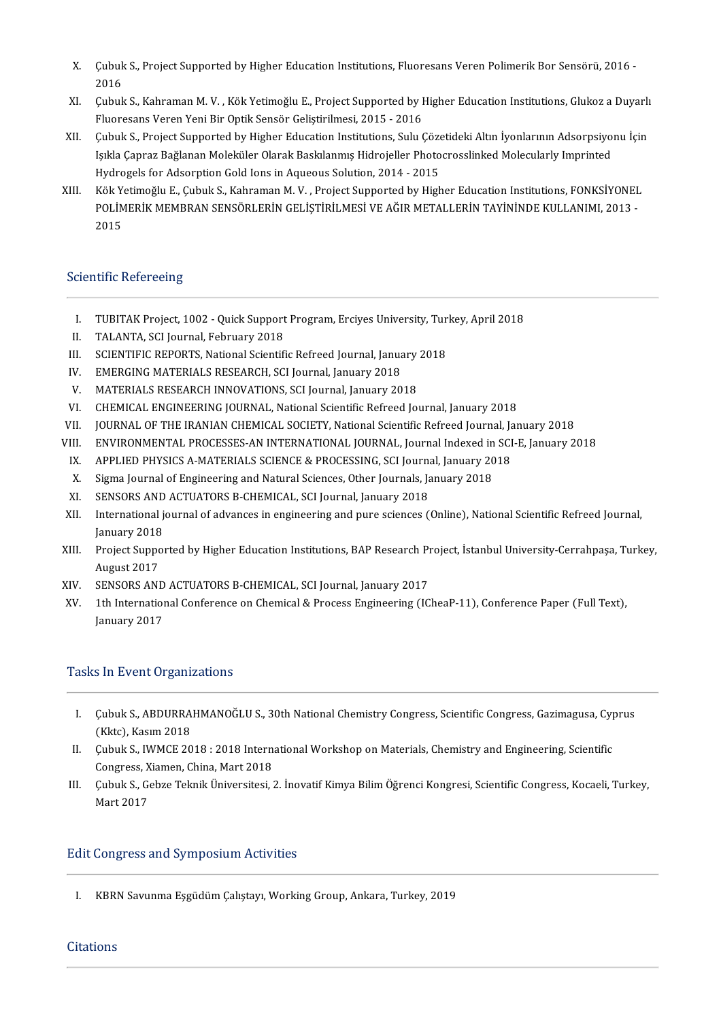- X.<br>X. Çubuk S., Project Supported by Higher Education Institutions, Fluoresans Veren Polimerik Bor Sensörü, 2016 -Cubuk<br>2016<br>Cubub X. Çubuk S., Project Supported by Higher Education Institutions, Fluoresans Veren Polimerik Bor Sensörü, 2016<br>2016<br>XI. Çubuk S., Kahraman M. V. , Kök Yetimoğlu E., Project Supported by Higher Education Institutions, Glukoz
- 2016<br>Çubuk S., Kahraman M. V. , Kök Yetimoğlu E., Project Supported by I<br>Fluoresans Veren Yeni Bir Optik Sensör Geliştirilmesi, 2015 2016<br>Cubuk S. Preject Supported by Higber Edusation Institutions, Sulu ( XI. Cubuk S., Kahraman M. V. , Kök Yetimoğlu E., Project Supported by Higher Education Institutions, Glukoz a Duyarlı<br>Fluoresans Veren Yeni Bir Optik Sensör Geliştirilmesi, 2015 - 2016<br>XII. Cubuk S., Project Supported by H
- Fluoresans Veren Yeni Bir Optik Sensör Geliştirilmesi, 2015 2016<br>Çubuk S., Project Supported by Higher Education Institutions, Sulu Çözetideki Altın İyonlarının Adsorpsiyo:<br>Işıkla Çapraz Bağlanan Moleküler Olarak Baskıla Çubuk S., Project Supported by Higher Education Institutions, Sulu Çöze<br>Işıkla Çapraz Bağlanan Moleküler Olarak Baskılanmış Hidrojeller Photo<br>Hydrogels for Adsorption Gold Ions in Aqueous Solution, 2014 - 2015<br>Kök Yotimoğl Işıkla Çapraz Bağlanan Moleküler Olarak Baskılanmış Hidrojeller Photocrosslinked Molecularly Imprinted<br>Hydrogels for Adsorption Gold Ions in Aqueous Solution, 2014 - 2015<br>XIII. Kök Yetimoğlu E., Çubuk S., Kahraman M. V. ,
- Hydrogels for Adsorption Gold Ions in Aqueous Solution, 2014 2015<br>Kök Yetimoğlu E., Çubuk S., Kahraman M. V. , Project Supported by Higher Education Institutions, FONKSİYONEL<br>POLİMERİK MEMBRAN SENSÖRLERİN GELİŞTİRİLMESİ Kök Y<br>POLİM<br>2015

# 2015<br>Scientific Refereeing

- cientific Refereeing<br>I. TUBITAK Project, 1002 Quick Support Program, Erciyes University, Turkey, April 2018<br>I. TALANTA, SCLIournal, Echnuary 2019 I. TUBITAK Project, 1002 - Quick Support<br>II. TALANTA, SCI Journal, February 2018<br>II. SCIENTIEIC PEPOPTS, National Scientifi I. TUBITAK Project, 1002 - Quick Support Program, Erciyes University, Tur<br>II. TALANTA, SCI Journal, February 2018<br>III. SCIENTIFIC REPORTS, National Scientific Refreed Journal, January 2018<br>IV. EMERCING MATERIALS RESEARCH S
- 
- II. TALANTA, SCI Journal, February 2018<br>III. SCIENTIFIC REPORTS, National Scientific Refreed Journal, January 2018<br>IV. EMERGING MATERIALS RESEARCH, SCI Journal, January 2018<br>V. MATERIALS RESEARCH INNOVATION
- 
- V. MATERIALS RESEARCH INNOVATIONS, SCI Journal, January 2018<br>VI. CHEMICAL ENGINEERING JOURNAL. National Scientific Refreed Io
- VI. CHEMICAL ENGINEERING JOURNAL, National Scientific Refreed Journal, January 2018<br>VII. JOURNAL OF THE IRANIAN CHEMICAL SOCIETY, National Scientific Refreed Journal, Ja
- III. JOURNAL OF THE IRANIAN CHEMICAL SOCIETY, National Scientific Refreed Journal, January<br>III. ENVIRONMENTAL PROCESSES-AN INTERNATIONAL JOURNAL, Journal Indexed in SCI<br>IX. APPLIED PHYSICS A-MATERIALS SCIENCE & PROCESSING,
- VII. JOURNAL OF THE IRANIAN CHEMICAL SOCIETY, National Scientific Refreed Journal, January 2018<br>VIII. ENVIRONMENTAL PROCESSES-AN INTERNATIONAL IOURNAL. Journal Indexed in SCI-E. January 2 VI. CHEMICAL ENGINEERING JOURNAL, National Scientific Refreed Journal, January 2018<br>VII. JOURNAL OF THE IRANIAN CHEMICAL SOCIETY, National Scientific Refreed Journal, January 2018<br>VIII. ENVIRONMENTAL PROCESSES-AN INTERNATI II. ENVIRONMENTAL PROCESSES-AN INTERNATIONAL JOURNAL, Journal Indexed in<br>X. APPLIED PHYSICS A-MATERIALS SCIENCE & PROCESSING, SCI Journal, January 20<br>X. Sigma Journal of Engineering and Natural Sciences, Other Journals, Ja
- IX. APPLIED PHYSICS A-MATERIALS SCIENCE & PROCESSING, SCI Journal<br>X. Sigma Journal of Engineering and Natural Sciences, Other Journals, January<br>XI. SENSORS AND ACTUATORS B-CHEMICAL, SCI Journal, January 2018
- 
- 
- X. Sigma Journal of Engineering and Natural Sciences, Other Journals, January 2018<br>XI. SENSORS AND ACTUATORS B-CHEMICAL, SCI Journal, January 2018<br>XII. International journal of advances in engineering and pure sciences (On SENSORS AND<br>International<br>January 2018<br>Preject Sunner XII. International journal of advances in engineering and pure sciences (Online), National Scientific Refreed Journal,<br>January 2018<br>XIII. Project Supported by Higher Education Institutions, BAP Research Project, İstanbul U
- January 2018<br>Project Suppo<br>August 2017<br>SENSOPS ANI XIII. Project Supported by Higher Education Institutions, BAP Research Pr<br>August 2017<br>XIV. SENSORS AND ACTUATORS B-CHEMICAL, SCI Journal, January 2017
- 
- August 2017<br>XIV. SENSORS AND ACTUATORS B-CHEMICAL, SCI Journal, January 2017<br>XV. 1th International Conference on Chemical & Process Engineering (ICheaP-11), Conference Paper (Full Text),<br>January 2017 SENSORS AND<br>1th Internation<br>January 2017

# January 2017<br>Tasks In Event Organizations

- I. ÇubukS.,ABDURRAHMANOĞLUS.,30thNationalChemistryCongress,ScientificCongress,Gazimagusa,Cyprus Cubuk S., ABDURRA<br>(Kktc), Kasım 2018<br>Cubuk S., WAGE 20 I. Cubuk S., ABDURRAHMANOĞLU S., 30th National Chemistry Congress, Scientific Congress, Gazimagusa, Cyp (Kktc), Kasım 2018<br>II. Cubuk S., IWMCE 2018 : 2018 International Workshop on Materials, Chemistry and Engineering, Sci
- (Kktc), Kasım 2018<br>Çubuk S., IWMCE 2018 : 2018 Intern<br>Congress, Xiamen, China, Mart 2018<br>Cubuk S. Cobre Telmik Üniversitesi Congress, Xiamen, China, Mart 2018
- II. Çubuk S., IWMCE 2018 : 2018 International Workshop on Materials, Chemistry and Engineering, Scientific<br>Congress, Xiamen, China, Mart 2018<br>III. Çubuk S., Gebze Teknik Üniversitesi, 2. İnovatif Kimya Bilim Öğrenci Kongre

### Edit Congress and Symposium Activities

I. KBRN Savunma Eşgüdüm Çalıştayı, Working Group, Ankara, Turkey, 2019

### **Citations**